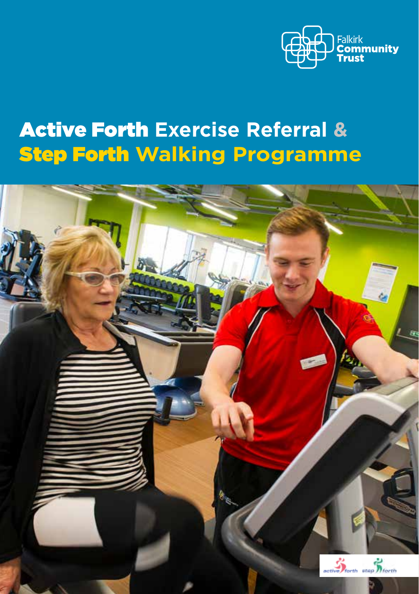

## Active Forth **Exercise Referral &** Step Forth **Walking Programme**

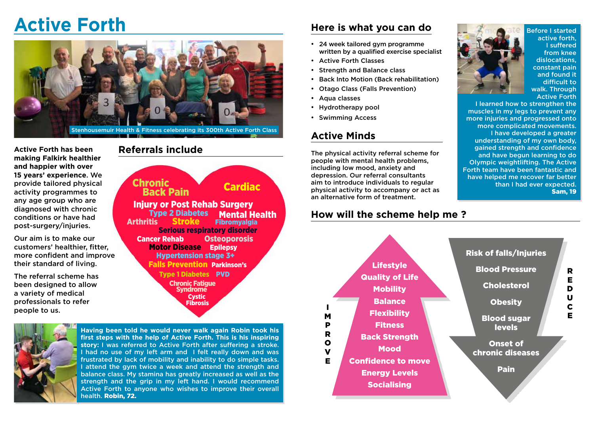# **Active Forth**



**Active Forth has been Referrals include making Falkirk healthier and happier with over 15 years' experience**. We provide tailored physical activity programmes to any age group who are diagnosed with chronic conditions or have had post-surgery/injuries.

Our aim is to make our customers' healthier, fitter, more confident and improve their standard of living.

The referral scheme has been designed to allow a variety of medical professionals to refer people to us.

 Injury or Post Rehab Surgery **Type 2 Diabetes<br>Arthritis Stroke Fibromyalgia**  Serious respiratory disorder **Cancer Rehab Cancer Rehab Osteoporosis Motor Disease Epilepsy**  Hypertension stage 3+ Falls Prevention Parkinson's Type 1 Diabetes PVD Chronic Fatigue Syndrome Chronic Cardiac Back Pain Mental Health Cystic Fibrosis



**Having been told he would never walk again Robin took his first steps with the help of Active Forth. This is his inspiring story:** I was referred to Active Forth after suffering a stroke. I had no use of my left arm and I felt really down and was frustrated by lack of mobility and inability to do simple tasks. I attend the gym twice a week and attend the strength and balance class. My stamina has greatly increased as well as the strength and the grip in my left hand. I would recommend Active Forth to anyone who wishes to improve their overall health. Robin, 72.

#### **Here is what you can do**

- · 24 week tailored gym programme written by a qualified exercise specialist
- · Active Forth Classes
- · Strength and Balance class
- Back Into Motion (Back rehabilitation)
- · Otago Class (Falls Prevention)
- · Aqua classes
- Hydrotherapy pool
- · Swimming Access

#### **Active Minds**

The physical activity referral scheme for people with mental health problems, including low mood, anxiety and depression. Our referral consultants aim to introduce individuals to regular physical activity to accompany or act as an alternative form of treatment.

#### **How will the scheme help me ?**





Before I started active forth, I suffered from knee dislocations, constant pain and found it difficult to walk. Through Active Forth

I learned how to strengthen the muscles in my legs to prevent any more injuries and progressed onto more complicated movements. I have developed a greater understanding of my own body, gained strength and confidence and have begun learning to do Olympic weightlifting. The Active Forth team have been fantastic and have helped me recover far better than I had ever expected. Sam, 19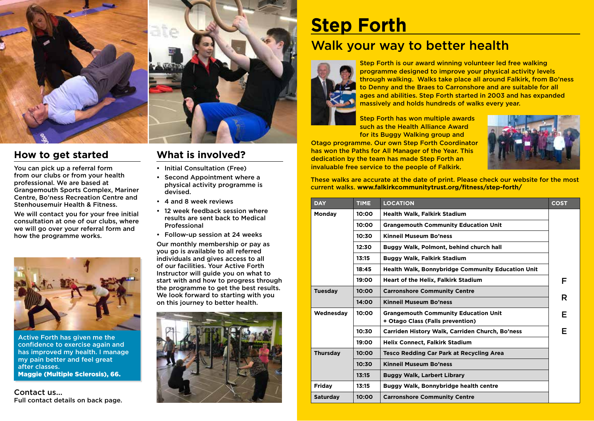

#### **How to get started**

You can pick up a referral form from our clubs or from your health professional. We are based at Grangemouth Sports Complex, Mariner Centre, Bo'ness Recreation Centre and Stenhousemuir Health & Fitness.

We will contact you for your free initial consultation at one of our clubs, where we will go over your referral form and how the programme works.



Active Forth has given me the confidence to exercise again and has improved my health. I manage my pain better and feel great after classes. Maggie (Multiple Sclerosis), 66.

Contact us... Full contact details on back page.



## **What is involved?**

- Initial Consultation (Free)
- Second Appointment where a physical activity programme is devised.
- 4 and 8 week reviews
- 12 week feedback session where results are sent back to Medical Professional
- Follow-up session at 24 weeks

Our monthly membership or pay as you go is available to all referred individuals and gives access to all of our facilities. Your Active Forth Instructor will guide you on what to start with and how to progress through the programme to get the best results. We look forward to starting with you on this journey to better health.



## **Step Forth**

## Walk your way to better health



Step Forth is our award winning volunteer led free walking programme designed to improve your physical activity levels through walking. Walks take place all around Falkirk, from Bo'ness to Denny and the Braes to Carronshore and are suitable for all ages and abilities. Step Forth started in 2003 and has expanded massively and holds hundreds of walks every year.

Step Forth has won multiple awards such as the Health Alliance Award for its Buggy Walking group and

Otago programme. Our own Step Forth Coordinator has won the Paths for All Manager of the Year. This dedication by the team has made Step Forth an invaluable free service to the people of Falkirk.



These walks are accurate at the date of print. Please check our website for the most current walks. **www.falkirkcommunitytrust.org/fitness/step-forth/**

| <b>DAY</b>      | <b>TIME</b>                                  | <b>LOCATION</b>                                                                 | <b>COST</b> |  |
|-----------------|----------------------------------------------|---------------------------------------------------------------------------------|-------------|--|
| Monday          | 10:00                                        | <b>Health Walk, Falkirk Stadium</b>                                             |             |  |
|                 | 10:00                                        | <b>Grangemouth Community Education Unit</b>                                     |             |  |
|                 | 10:30                                        | Kinneil Museum Bo'ness                                                          |             |  |
|                 | 12:30                                        | Buggy Walk, Polmont, behind church hall                                         |             |  |
|                 | 13:15                                        | <b>Buggy Walk, Falkirk Stadium</b>                                              |             |  |
|                 | 18:45                                        | <b>Health Walk, Bonnybridge Community Education Unit</b>                        |             |  |
|                 | 19:00                                        | <b>Heart of the Helix, Falkirk Stadium</b>                                      | F           |  |
| <b>Tuesday</b>  | <b>Carronshore Community Centre</b><br>10:00 |                                                                                 |             |  |
|                 | 14:00                                        | <b>Kinneil Museum Bo'ness</b>                                                   | R           |  |
| Wednesday       | 10:00                                        | <b>Grangemouth Community Education Unit</b><br>+ Otago Class (Falls prevention) | Е           |  |
|                 | 10:30                                        | Carriden History Walk, Carriden Church, Bo'ness                                 | F           |  |
|                 | 19:00                                        | <b>Helix Connect, Falkirk Stadium</b>                                           |             |  |
| <b>Thursday</b> | 10:00                                        | <b>Tesco Redding Car Park at Recycling Area</b>                                 |             |  |
|                 | 10:30                                        | <b>Kinneil Museum Bo'ness</b>                                                   |             |  |
|                 | 13:15                                        | <b>Buggy Walk, Larbert Library</b>                                              |             |  |
| Fridav          | 13:15                                        | Buggy Walk, Bonnybridge health centre                                           |             |  |
| <b>Saturday</b> | 10:00                                        | <b>Carronshore Community Centre</b>                                             |             |  |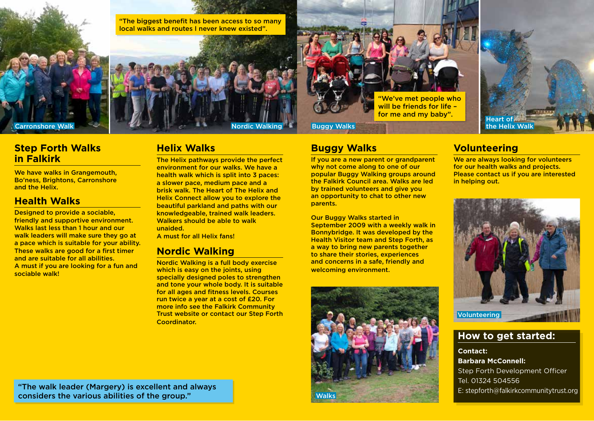

"The biggest benefit has been access to so many local walks and routes I never knew existed".





## **Buggy Walks**

If you are a new parent or grandparent why not come along to one of our popular Buggy Walking groups around the Falkirk Council area. Walks are led by trained volunteers and give you an opportunity to chat to other new parents.

Our Buggy Walks started in September 2009 with a weekly walk in Bonnybridge. It was developed by the Health Visitor team and Step Forth, as a way to bring new parents together to share their stories, experiences and concerns in a safe, friendly and welcoming environment.





## **Volunteering**

We are always looking for volunteers for our health walks and projects. Please contact us if you are interested in helping out.



#### **How to get started:**

**Contact: Barbara McConnell:** Step Forth Development Officer Tel. 01324 504556 E: stepforth@falkirkcommunitytrust.org

## **Step Forth Walks in Falkirk**

We have walks in Grangemouth, Bo'ness, Brightons, Carronshore and the Helix.

## **Health Walks**

Designed to provide a sociable, friendly and supportive environment. Walks last less than 1 hour and our walk leaders will make sure they go at a pace which is suitable for your ability. These walks are good for a first timer and are suitable for all abilities. A must if you are looking for a fun and sociable walk!

**Helix Walks**

The Helix pathways provide the perfect environment for our walks. We have a health walk which is split into 3 paces: a slower pace, medium pace and a brisk walk. The Heart of The Helix and Helix Connect allow you to explore the beautiful parkland and paths with our knowledgeable, trained walk leaders. Walkers should be able to walk unaided.

A must for all Helix fans!

## **Nordic Walking**

Nordic Walking is a full body exercise which is easy on the joints, using specially designed poles to strengthen and tone your whole body. It is suitable for all ages and fitness levels. Courses run twice a year at a cost of £20. For more info see the Falkirk Community Trust website or contact our Step Forth Coordinator.

"The walk leader (Margery) is excellent and always considers the various abilities of the group."